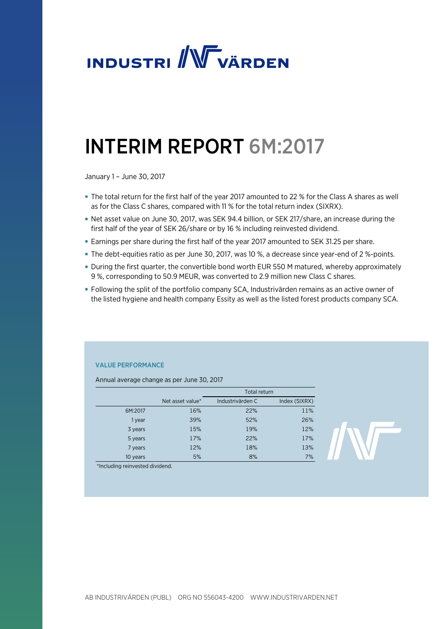

# INTERIM REPORT 6M:2017

January 1 – June 30, 2017

- The total return for the first half of the year 2017 amounted to 22 % for the Class A shares as well as for the Class C shares, compared with 11 % for the total return index (SIXRX).
- Net asset value on June 30, 2017, was SEK 94.4 billion, or SEK 217/share, an increase during the first half of the year of SEK 26/share or by 16 % including reinvested dividend.
- Earnings per share during the first half of the year 2017 amounted to SEK 31.25 per share.
- The debt-equities ratio as per June 30, 2017, was 10 %, a decrease since year-end of 2 %-points.
- During the first quarter, the convertible bond worth EUR 550 M matured, whereby approximately 9 %, corresponding to 50.9 MEUR, was converted to 2.9 million new Class C shares.
- Following the split of the portfolio company SCA, Industrivärden remains as an active owner of the listed hygiene and health company Essity as well as the listed forest products company SCA.

### VALUE PERFORMANCE

Annual average change as per June 30, 2017

|          |                  | Total return     |               |  |  |
|----------|------------------|------------------|---------------|--|--|
|          | Net asset value* | Industrivärden C | Index (SIXRX) |  |  |
| 6M:2017  | 16%              | 22%              | 11%           |  |  |
| 1 year   | 39%              | 52%              | 26%           |  |  |
| 3 years  | 15%              | 19%              | 12%           |  |  |
| 5 years  | 17%              | 22%              | 17%           |  |  |
| 7 years  | 12%              | 18%              | 13%           |  |  |
| 10 years | 5%               | 8%               | 7%            |  |  |

\*Including reinvested dividend.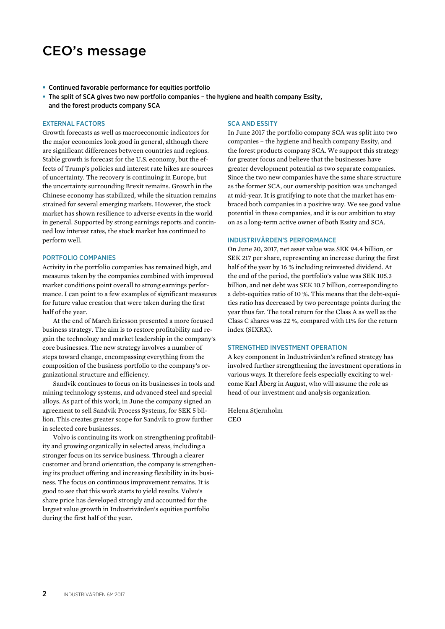# CEO's message

- Continued favorable performance for equities portfolio
- The split of SCA gives two new portfolio companies the hygiene and health company Essity, and the forest products company SCA

#### EXTERNAL FACTORS

Growth forecasts as well as macroeconomic indicators for the major economies look good in general, although there are significant differences between countries and regions. Stable growth is forecast for the U.S. economy, but the effects of Trump's policies and interest rate hikes are sources of uncertainty. The recovery is continuing in Europe, but the uncertainty surrounding Brexit remains. Growth in the Chinese economy has stabilized, while the situation remains strained for several emerging markets. However, the stock market has shown resilience to adverse events in the world in general. Supported by strong earnings reports and continued low interest rates, the stock market has continued to perform well.

### PORTFOLIO COMPANIES

Activity in the portfolio companies has remained high, and measures taken by the companies combined with improved market conditions point overall to strong earnings performance. I can point to a few examples of significant measures for future value creation that were taken during the first half of the year.

At the end of March Ericsson presented a more focused business strategy. The aim is to restore profitability and regain the technology and market leadership in the company's core businesses. The new strategy involves a number of steps toward change, encompassing everything from the composition of the business portfolio to the company's organizational structure and efficiency.

Sandvik continues to focus on its businesses in tools and mining technology systems, and advanced steel and special alloys. As part of this work, in June the company signed an agreement to sell Sandvik Process Systems, for SEK 5 billion. This creates greater scope for Sandvik to grow further in selected core businesses.

Volvo is continuing its work on strengthening profitability and growing organically in selected areas, including a stronger focus on its service business. Through a clearer customer and brand orientation, the company is strengthening its product offering and increasing flexibility in its business. The focus on continuous improvement remains. It is good to see that this work starts to yield results. Volvo's share price has developed strongly and accounted for the largest value growth in Industrivärden's equities portfolio during the first half of the year.

#### SCA AND ESSITY

In June 2017 the portfolio company SCA was split into two companies – the hygiene and health company Essity, and the forest products company SCA. We support this strategy for greater focus and believe that the businesses have greater development potential as two separate companies. Since the two new companies have the same share structure as the former SCA, our ownership position was unchanged at mid-year. It is gratifying to note that the market has embraced both companies in a positive way. We see good value potential in these companies, and it is our ambition to stay on as a long-term active owner of both Essity and SCA.

#### INDUSTRIVÄRDEN'S PERFORMANCE

On June 30, 2017, net asset value was SEK 94.4 billion, or SEK 217 per share, representing an increase during the first half of the year by 16 % including reinvested dividend. At the end of the period, the portfolio's value was SEK 105.3 billion, and net debt was SEK 10.7 billion, corresponding to a debt-equities ratio of 10 %. This means that the debt-equities ratio has decreased by two percentage points during the year thus far. The total return for the Class A as well as the Class C shares was 22 %, compared with 11% for the return index (SIXRX).

#### STRENGTHED INVESTMENT OPERATION

A key component in Industrivärden's refined strategy has involved further strengthening the investment operations in various ways. It therefore feels especially exciting to welcome Karl Åberg in August, who will assume the role as head of our investment and analysis organization.

Helena Stjernholm CEO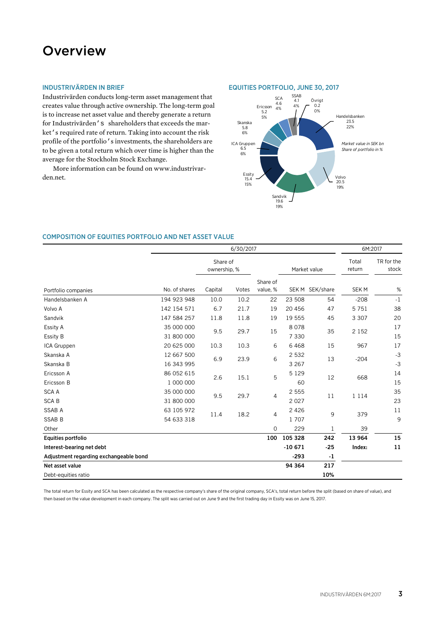# **Overview**

# INDUSTRIVÄRDEN IN BRIEF

Industrivärden conducts long-term asset management that creates value through active ownership. The long-term goal is to increase net asset value and thereby generate a return for Industrivärden's shareholders that exceeds the market's required rate of return. Taking into account the risk profile of the portfolio's investments, the shareholders are to be given a total return which over time is higher than the average for the Stockholm Stock Exchange.

More information can be found on www.industrivarden.net.

#### EQUITIES PORTFOLIO, JUNE 30, 2017



#### COMPOSITION OF EQUITIES PORTFOLIO AND NET ASSET VALUE

|                                        | 6/30/2017                |                          |       |                      |                    |                 | 6M:2017          |                     |
|----------------------------------------|--------------------------|--------------------------|-------|----------------------|--------------------|-----------------|------------------|---------------------|
|                                        |                          | Share of<br>ownership, % |       |                      |                    | Market value    | Total<br>return  | TR for the<br>stock |
| Portfolio companies                    | No. of shares            | Capital                  | Votes | Share of<br>value, % |                    | SEK M SEK/share | SEK <sub>M</sub> | $\%$                |
| Handelsbanken A                        | 194 923 948              | 10.0                     | 10.2  | 22                   | 23 508             | 54              | $-208$           | $^{\circ}1$         |
| Volvo A                                | 142 154 571              | 6.7                      | 21.7  | 19                   | 20 45 6            | 47              | 5751             | 38                  |
| Sandvik                                | 147 584 257              | 11.8                     | 11.8  | 19                   | 19 555             | 45              | 3 3 0 7          | 20                  |
| Essity A<br>Essity B                   | 35 000 000<br>31 800 000 | 9.5                      | 29.7  | 15                   | 8078<br>7 3 3 0    | 35              | 2 1 5 2          | 17<br>15            |
| ICA Gruppen                            | 20 625 000               | 10.3                     | 10.3  | 6                    | 6468               | 15              | 967              | 17                  |
| Skanska A<br>Skanska B                 | 12 667 500<br>16 343 995 | 6.9                      | 23.9  | 6                    | 2 5 3 2<br>3 2 6 7 | 13              | $-204$           | $-3$<br>$-3$        |
| Ericsson A<br>Ericsson B               | 86 052 615<br>1 000 000  | 2.6                      | 15.1  | 5                    | 5 1 2 9<br>60      | 12              | 668              | 14<br>15            |
| <b>SCAA</b><br><b>SCAB</b>             | 35 000 000<br>31 800 000 | 9.5                      | 29.7  | $\overline{4}$       | 2 5 5 5<br>2027    | 11              | 1 1 1 4          | 35<br>23            |
| <b>SSAB A</b><br><b>SSAB B</b>         | 63 105 972<br>54 633 318 | 11.4                     | 18.2  | $\overline{4}$       | 2 4 2 6<br>1 707   | 9               | 379              | 11<br>9             |
| Other                                  |                          |                          |       | $\mathbf 0$          | 229                | $\mathbf{1}$    | 39               |                     |
| <b>Equities portfolio</b>              |                          |                          |       | 100                  | 105 328            | 242             | 13 964           | 15                  |
| Interest-bearing net debt              |                          |                          |       |                      | $-10671$           | $-25$           | Index:           | 11                  |
| Adjustment regarding exchangeable bond |                          |                          |       |                      | $-293$             | $-1$            |                  |                     |
| Net asset value                        |                          |                          |       |                      | 94 364             | 217             |                  |                     |
| Debt-equities ratio                    |                          |                          |       |                      |                    | 10%             |                  |                     |

The total return for Essity and SCA has been calculated as the respective company's share of the original company, SCA's, total return before the split (based on share of value), and then based on the value development in each company. The split was carried out on June 9 and the first trading day in Essity was on June 15, 2017.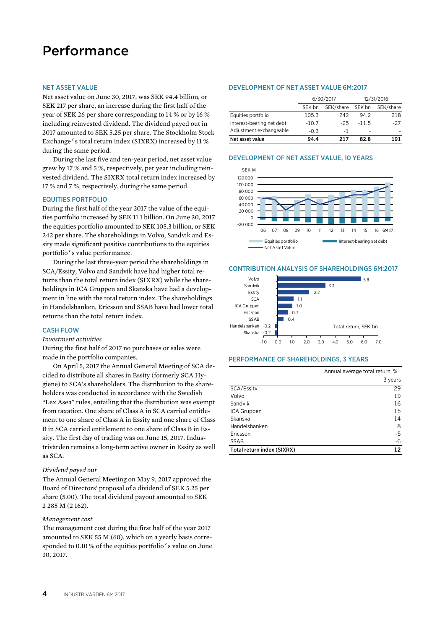# Performance

#### NET ASSET VALUE

Net asset value on June 30, 2017, was SEK 94.4 billion, or SEK 217 per share, an increase during the first half of the year of SEK 26 per share corresponding to 14 % or by 16 % including reinvested dividend. The dividend payed out in 2017 amounted to SEK 5.25 per share. The Stockholm Stock Exchange's total return index (SIXRX) increased by 11 % during the same period.

During the last five and ten-year period, net asset value grew by 17 % and 5 %, respectively, per year including reinvested dividend. The SIXRX total return index increased by 17 % and 7 %, respectively, during the same period.

#### EQUITIES PORTFOLIO

During the first half of the year 2017 the value of the equities portfolio increased by SEK 11.1 billion. On June 30, 2017 the equities portfolio amounted to SEK 105.3 billion, or SEK 242 per share. The shareholdings in Volvo, Sandvik and Essity made significant positive contributions to the equities portfolio's value performance.

During the last three-year period the shareholdings in SCA/Essity, Volvo and Sandvik have had higher total returns than the total return index (SIXRX) while the shareholdings in ICA Gruppen and Skanska have had a development in line with the total return index. The shareholdings in Handelsbanken, Ericsson and SSAB have had lower total returns than the total return index.

### CASH FLOW

#### *Investment activities*

During the first half of 2017 no purchases or sales were made in the portfolio companies.

On April 5, 2017 the Annual General Meeting of SCA decided to distribute all shares in Essity (formerly SCA Hygiene) to SCA's shareholders. The distribution to the shareholders was conducted in accordance with the Swedish "Lex Asea" rules, entailing that the distribution was exempt from taxation. One share of Class A in SCA carried entitlement to one share of Class A in Essity and one share of Class B in SCA carried entitlement to one share of Class B in Essity. The first day of trading was on June 15, 2017. Industrivärden remains a long-term active owner in Essity as well as SCA.

#### *Dividend payed out*

The Annual General Meeting on May 9, 2017 approved the Board of Directors' proposal of a dividend of SEK 5.25 per share (5.00). The total dividend payout amounted to SEK 2 285 M (2 162).

#### *Management cost*

The management cost during the first half of the year 2017 amounted to SEK 55 M (60), which on a yearly basis corresponded to 0.10 % of the equities portfolio's value on June 30, 2017.

#### DEVELOPMENT OF NET ASSET VALUE 6M:2017

|                           |         | 6/30/2017 | 12/31/2016 |           |  |
|---------------------------|---------|-----------|------------|-----------|--|
|                           | SEK bn  | SEK/share | SEK bn     | SEK/share |  |
| Equities portfolio        | 105.3   | 242       | 94.2       | 218       |  |
| Interest-bearing net debt | $-10.7$ | $-25$     | $-11.5$    | $-27$     |  |
| Adjustment exchangeable   | $-0.3$  | - 1       | ٠          |           |  |
| Net asset value           | 94.4    | 217       | 82.8       | 191       |  |

#### 0 20 000 40000 60 000 80 000 100 000 120 000 SEK M

DEVELOPMENT OF NET ASSET VALUE, 10 YEARS



#### CONTRIBUTION ANALYSIS OF SHAREHOLDINGS 6M:2017



#### PERFORMANCE OF SHAREHOLDINGS, 3 YEARS

|                            | Annual average total return, % |
|----------------------------|--------------------------------|
|                            | 3 years                        |
| SCA/Essity                 | 29                             |
| Volvo                      | 19                             |
| Sandvik                    | 16                             |
| ICA Gruppen                | 15                             |
| Skanska                    | 14                             |
| Handelsbanken              | 8                              |
| Ericsson                   | $-5$                           |
| SSAB                       | $-6$                           |
| Total return index (SIXRX) | 12                             |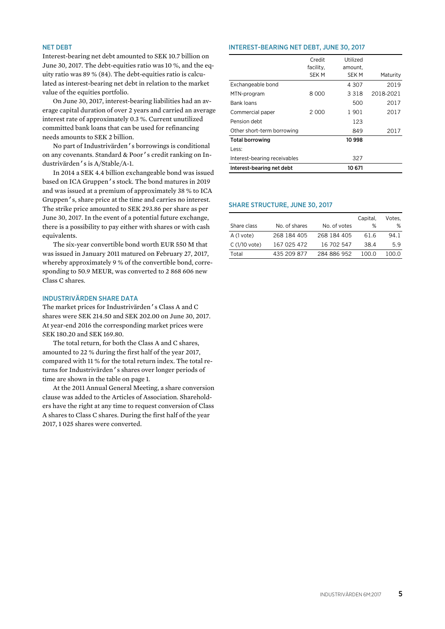#### NET DEBT

Interest-bearing net debt amounted to SEK 10.7 billion on June 30, 2017. The debt-equities ratio was 10 %, and the equity ratio was 89 % (84). The debt-equities ratio is calculated as interest-bearing net debt in relation to the market value of the equities portfolio.

On June 30, 2017, interest-bearing liabilities had an average capital duration of over 2 years and carried an average interest rate of approximately 0.3 %. Current unutilized committed bank loans that can be used for refinancing needs amounts to SEK 2 billion.

No part of Industrivärden's borrowings is conditional on any covenants. Standard & Poor's credit ranking on Industrivärden's is A/Stable/A-1.

In 2014 a SEK 4.4 billion exchangeable bond was issued based on ICA Gruppen's stock. The bond matures in 2019 and was issued at a premium of approximately 38 % to ICA Gruppen's, share price at the time and carries no interest. The strike price amounted to SEK 293.86 per share as per June 30, 2017. In the event of a potential future exchange, there is a possibility to pay either with shares or with cash equivalents.

The six-year convertible bond worth EUR 550 M that was issued in January 2011 matured on February 27, 2017, whereby approximately 9 % of the convertible bond, corresponding to 50.9 MEUR, was converted to 2 868 606 new Class C shares.

# INDUSTRIVÄRDEN SHARE DATA

The market prices for Industrivärden's Class A and C shares were SEK 214.50 and SEK 202.00 on June 30, 2017. At year-end 2016 the corresponding market prices were SEK 180.20 and SEK 169.80.

The total return, for both the Class A and C shares, amounted to 22 % during the first half of the year 2017, compared with 11 % for the total return index. The total returns for Industrivärden's shares over longer periods of time are shown in the table on page 1.

At the 2011 Annual General Meeting, a share conversion clause was added to the Articles of Association. Shareholders have the right at any time to request conversion of Class A shares to Class C shares. During the first half of the year 2017, 1 025 shares were converted.

#### INTEREST-BEARING NET DEBT, JUNE 30, 2017

|                              | Credit             | Utilized         |           |
|------------------------------|--------------------|------------------|-----------|
|                              | facility,<br>SEK M | amount.<br>SEK M | Maturity  |
| Exchangeable bond            |                    | 4 307            | 2019      |
| MTN-program                  | 8 000              | 3 3 1 8          | 2018-2021 |
| <b>Bank loans</b>            |                    | 500              | 2017      |
| Commercial paper             | 2 000              | 1901             | 2017      |
| Pension debt                 |                    | 123              |           |
| Other short-term borrowing   |                    | 849              | 2017      |
| <b>Total borrowing</b>       |                    | 10 998           |           |
| Less:                        |                    |                  |           |
| Interest-bearing receivables |                    | 327              |           |
| Interest-bearing net debt    |                    | 10 671           |           |

#### SHARE STRUCTURE, JUNE 30, 2017

|             |               | Capital,     | Votes. |
|-------------|---------------|--------------|--------|
|             |               |              | ℅      |
| 268 184 405 | 268 184 405   | 61.6         | 94.1   |
| 167 025 472 | 16 702 547    | 38.4         | 5.9    |
| 435 209 877 | 284 886 952   | 100 O        | 100.0  |
|             | No. of shares | No. of votes | %      |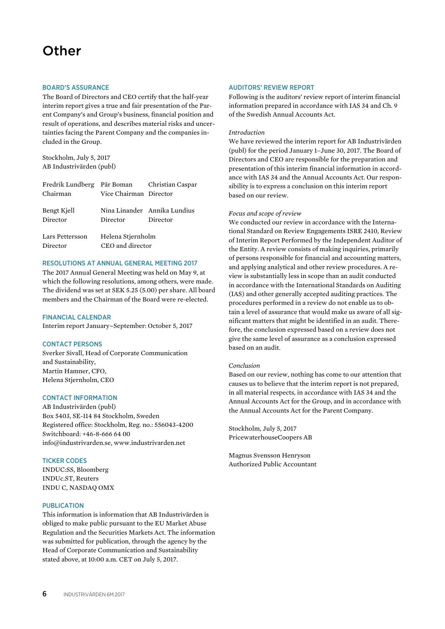# **Other**

#### BOARD'S ASSURANCE

The Board of Directors and CEO certify that the half-year interim report gives a true and fair presentation of the Parent Company's and Group's business, financial position and result of operations, and describes material risks and uncertainties facing the Parent Company and the companies included in the Group.

Stockholm, July 5, 2017 AB Industrivärden (publ)

| Fredrik Lundberg Pär Boman Christian Caspar |                        |                              |  |  |
|---------------------------------------------|------------------------|------------------------------|--|--|
| Chairman                                    | Vice Chairman Director |                              |  |  |
|                                             |                        |                              |  |  |
| Bengt Kjell                                 |                        | Nina Linander Annika Lundius |  |  |
| Director                                    | Director               | Director                     |  |  |
|                                             |                        |                              |  |  |
| Lars Pettersson                             | Helena Stjernholm      |                              |  |  |
| Director                                    | CEO and director       |                              |  |  |

### RESOLUTIONS AT ANNUAL GENERAL MEETING 2017

The 2017 Annual General Meeting was held on May 9, at which the following resolutions, among others, were made. The dividend was set at SEK 5.25 (5.00) per share. All board members and the Chairman of the Board were re-elected.

### FINANCIAL CALENDAR

Interim report January–September: October 5, 2017

#### CONTACT PERSONS

Sverker Sivall, Head of Corporate Communication and Sustainability, Martin Hamner, CFO, Helena Stjernholm, CEO

#### CONTACT INFORMATION

AB Industrivärden (publ) Box 5403, SE-114 84 Stockholm, Sweden Registered office: Stockholm, Reg. no.: 556043-4200 Switchboard: +46-8-666 64 00 info@industrivarden.se, www.industrivarden.net

#### TICKER CODES

INDUC:SS, Bloomberg INDUc.ST, Reuters INDU C, NASDAQ OMX

#### PUBLICATION

This information is information that AB Industrivärden is obliged to make public pursuant to the EU Market Abuse Regulation and the Securities Markets Act. The information was submitted for publication, through the agency by the Head of Corporate Communication and Sustainability stated above, at 10:00 a.m. CET on July 5, 2017.

#### AUDITORS' REVIEW REPORT

Following is the auditors' review report of interim financial information prepared in accordance with IAS 34 and Ch. 9 of the Swedish Annual Accounts Act.

### *Introduction*

We have reviewed the interim report for AB Industrivärden (publ) for the period January 1–June 30, 2017. The Board of Directors and CEO are responsible for the preparation and presentation of this interim financial information in accordance with IAS 34 and the Annual Accounts Act. Our responsibility is to express a conclusion on this interim report based on our review.

#### *Focus and scope of review*

We conducted our review in accordance with the International Standard on Review Engagements ISRE 2410, Review of Interim Report Performed by the Independent Auditor of the Entity. A review consists of making inquiries, primarily of persons responsible for financial and accounting matters, and applying analytical and other review procedures. A review is substantially less in scope than an audit conducted in accordance with the International Standards on Auditing (IAS) and other generally accepted auditing practices. The procedures performed in a review do not enable us to obtain a level of assurance that would make us aware of all significant matters that might be identified in an audit. Therefore, the conclusion expressed based on a review does not give the same level of assurance as a conclusion expressed based on an audit.

#### *Conclusion*

Based on our review, nothing has come to our attention that causes us to believe that the interim report is not prepared, in all material respects, in accordance with IAS 34 and the Annual Accounts Act for the Group, and in accordance with the Annual Accounts Act for the Parent Company.

Stockholm, July 5, 2017 PricewaterhouseCoopers AB

Magnus Svensson Henryson Authorized Public Accountant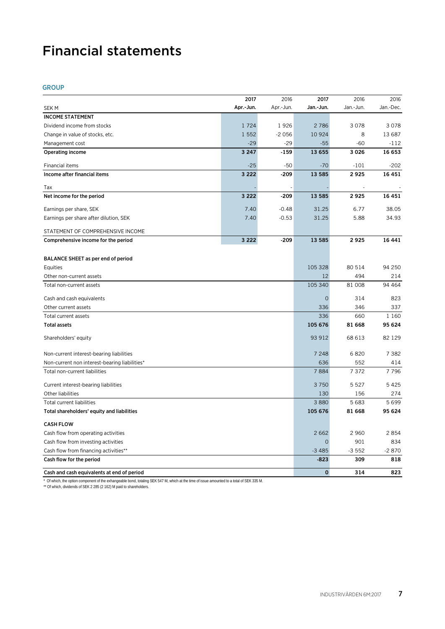# Financial statements

# GROUP

|                                               | 2017      | 2016      | 2017        | 2016      | 2016      |
|-----------------------------------------------|-----------|-----------|-------------|-----------|-----------|
| SEK M                                         | Apr.-Jun. | Apr.-Jun. | Jan.-Jun.   | Jan.-Jun. | Jan.-Dec. |
| <b>INCOME STATEMENT</b>                       |           |           |             |           |           |
| Dividend income from stocks                   | 1724      | 1926      | 2786        | 3078      | 3078      |
| Change in value of stocks, etc.               | 1 5 5 2   | $-2056$   | 10 9 24     | 8         | 13 687    |
| Management cost                               | $-29$     | $-29$     | $-55$       | $-60$     | $-112$    |
| <b>Operating income</b>                       | 3 2 4 7   | $-159$    | 13 655      | 3026      | 16 653    |
| Financial items                               | $-25$     | $-50$     | $-70$       | $-101$    | $-202$    |
| Income after financial items                  | 3 2 2 2   | $-209$    | 13 5 85     | 2925      | 16 451    |
| Tax                                           |           |           |             |           |           |
| Net income for the period                     | 3 2 2 2   | $-209$    | 13 5 8 5    | 2925      | 16 451    |
| Earnings per share, SEK                       | 7.40      | $-0.48$   | 31.25       | 6.77      | 38.05     |
| Earnings per share after dilution, SEK        | 7.40      | $-0.53$   | 31.25       | 5.88      | 34.93     |
| STATEMENT OF COMPREHENSIVE INCOME             |           |           |             |           |           |
| Comprehensive income for the period           | 3 2 2 2   | $-209$    | 13 5 8 5    | 2925      | 16 441    |
|                                               |           |           |             |           |           |
| BALANCE SHEET as per end of period            |           |           |             |           |           |
| Equities                                      |           |           | 105 328     | 80 514    | 94 250    |
| Other non-current assets                      |           |           | 12          | 494       | 214       |
| Total non-current assets                      |           |           | 105 340     | 81 008    | 94 4 64   |
| Cash and cash equivalents                     |           |           | $\mathbf 0$ | 314       | 823       |
| Other current assets                          |           |           | 336         | 346       | 337       |
| Total current assets                          |           |           |             | 660       | 1 1 6 0   |
| <b>Total assets</b>                           |           |           |             | 81 668    | 95 624    |
| Shareholders' equity                          |           |           |             | 68 613    | 82 1 29   |
| Non-current interest-bearing liabilities      |           |           | 7 2 4 8     | 6820      | 7 3 8 2   |
| Non-current non interest-bearing liabilities* |           |           | 636         | 552       | 414       |
| Total non-current liabilities                 |           |           | 7884        | 7372      | 7796      |
| Current interest-bearing liabilities          |           |           | 3750        | 5 5 2 7   | 5425      |
| Other liabilities                             |           |           | 130         | 156       | 274       |
| Total current liabilities                     |           |           | 3880        | 5683      | 5699      |
| Total shareholders' equity and liabilities    |           |           | 105 676     | 81 668    | 95 624    |
| <b>CASH FLOW</b>                              |           |           |             |           |           |
| Cash flow from operating activities           |           |           | 2662        | 2 9 6 0   | 2854      |
| Cash flow from investing activities           |           |           |             | 901       | 834       |
| Cash flow from financing activities**         |           |           | $-3485$     | $-3552$   | $-2870$   |
| Cash flow for the period                      |           |           | $-823$      | 309       | 818       |
| Cash and cash equivalents at end of period    |           |           | $\mathbf 0$ | 314       | 823       |

\* Of which, the option component of the exhangeable bond, totaling SEK 547 M, which at the time of issue amounted to a total of SEK 335 M.

\*\* Of which, dividends of SEK 2 285 (2 162) M paid to shareholders.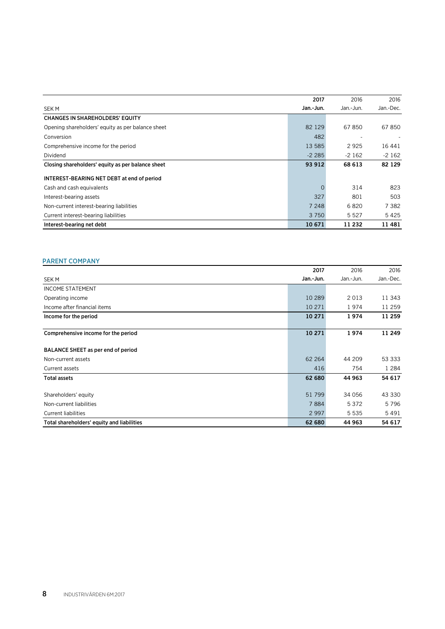|                                                   | 2017      | 2016      | 2016      |
|---------------------------------------------------|-----------|-----------|-----------|
| <b>SEKM</b>                                       | Jan.-Jun. | Jan.-Jun. | Jan.-Dec. |
| <b>CHANGES IN SHAREHOLDERS' EQUITY</b>            |           |           |           |
| Opening shareholders' equity as per balance sheet | 82 1 29   | 67850     | 67850     |
| Conversion                                        | 482       |           |           |
| Comprehensive income for the period               | 13 5 85   | 2925      | 16 44 1   |
| Dividend                                          | $-2285$   | $-2162$   | $-2162$   |
| Closing shareholders' equity as per balance sheet | 93 912    | 68 613    | 82 1 29   |
| INTEREST-BEARING NET DEBT at end of period        |           |           |           |
| Cash and cash equivalents                         | $\Omega$  | 314       | 823       |
| Interest-bearing assets                           | 327       | 801       | 503       |
| Non-current interest-bearing liabilities          | 7 248     | 6820      | 7 3 8 2   |
| Current interest-bearing liabilities              | 3 7 5 0   | 5 5 2 7   | 5425      |
| Interest-bearing net debt                         | 10 671    | 11 232    | 11481     |

# PARENT COMPANY

|                                            | 2017      | 2016      | 2016      |
|--------------------------------------------|-----------|-----------|-----------|
| <b>SEKM</b>                                | Jan.-Jun. | Jan.-Jun. | Jan.-Dec. |
| <b>INCOME STATEMENT</b>                    |           |           |           |
| Operating income                           | 10 289    | 2013      | 11 343    |
| Income after financial items               | 10 27 1   | 1974      | 11 259    |
| Income for the period                      | 10 271    | 1974      | 11 259    |
| Comprehensive income for the period        | 10 271    | 1974      | 11 249    |
| BALANCE SHEET as per end of period         |           |           |           |
| Non-current assets                         | 62 264    | 44 209    | 53 333    |
| Current assets                             | 416       | 754       | 1 2 8 4   |
| <b>Total assets</b>                        | 62 680    | 44 963    | 54 617    |
| Shareholders' equity                       | 51 799    | 34 056    | 43 330    |
| Non-current liabilities                    | 7884      | 5372      | 5796      |
| <b>Current liabilities</b>                 | 2 9 9 7   | 5 5 3 5   | 5491      |
| Total shareholders' equity and liabilities | 62 680    | 44 963    | 54 617    |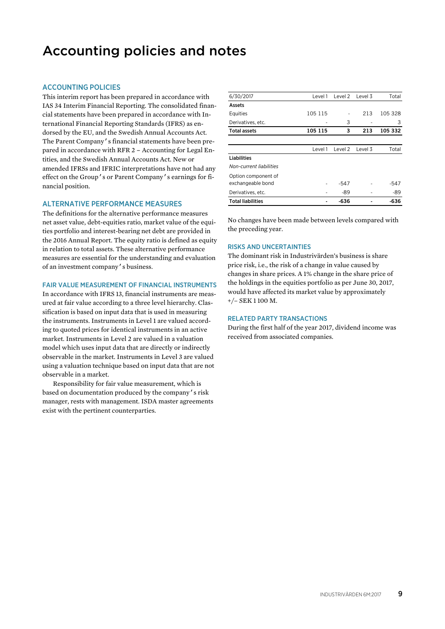# Accounting policies and notes

# ACCOUNTING POLICIES

This interim report has been prepared in accordance with IAS 34 Interim Financial Reporting. The consolidated financial statements have been prepared in accordance with International Financial Reporting Standards (IFRS) as endorsed by the EU, and the Swedish Annual Accounts Act. The Parent Company's financial statements have been prepared in accordance with RFR 2 – Accounting for Legal Entities, and the Swedish Annual Accounts Act. New or amended IFRSs and IFRIC interpretations have not had any effect on the Group's or Parent Company's earnings for financial position.

#### ALTERNATIVE PERFORMANCE MEASURES

The definitions for the alternative performance measures net asset value, debt-equities ratio, market value of the equities portfolio and interest-bearing net debt are provided in the 2016 Annual Report. The equity ratio is defined as equity in relation to total assets. These alternative performance measures are essential for the understanding and evaluation of an investment company's business.

#### FAIR VALUE MEASUREMENT OF FINANCIAL INSTRUMENTS

In accordance with IFRS 13, financial instruments are measured at fair value according to a three level hierarchy. Classification is based on input data that is used in measuring the instruments. Instruments in Level 1 are valued according to quoted prices for identical instruments in an active market. Instruments in Level 2 are valued in a valuation model which uses input data that are directly or indirectly observable in the market. Instruments in Level 3 are valued using a valuation technique based on input data that are not observable in a market.

Responsibility for fair value measurement, which is based on documentation produced by the company's risk manager, rests with management. ISDA master agreements exist with the pertinent counterparties.

| 6/30/2017                | Level 1 | Level 2 | Level 3 | Total   |
|--------------------------|---------|---------|---------|---------|
| Assets                   |         |         |         |         |
| Equities                 | 105 115 |         | 213     | 105 328 |
| Derivatives, etc.        |         | 3       |         | 3       |
| <b>Total assets</b>      | 105 115 | 3       | 213     | 105 332 |
|                          |         |         |         |         |
|                          | Level 1 | Level 2 | Level 3 | Total   |
| Liabilities              |         |         |         |         |
| Non-current liabilities  |         |         |         |         |
| Option component of      |         |         |         |         |
| exchangeable bond        |         | $-547$  |         | $-547$  |
| Derivatives, etc.        |         | -89     |         | -89     |
| <b>Total liabilities</b> |         | -636    |         | $-636$  |

No changes have been made between levels compared with the preceding year.

#### RISKS AND UNCERTAINTIES

The dominant risk in Industrivärden's business is share price risk, i.e., the risk of a change in value caused by changes in share prices. A 1% change in the share price of the holdings in the equities portfolio as per June 30, 2017, would have affected its market value by approximately +/– SEK 1 100 M.

#### RELATED PARTY TRANSACTIONS

During the first half of the year 2017, dividend income was received from associated companies.